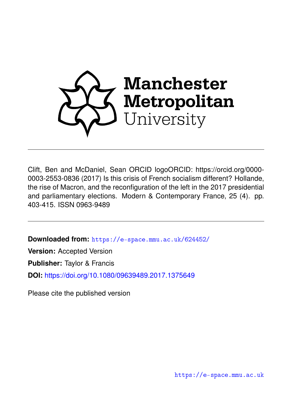

Clift, Ben and McDaniel, Sean ORCID logoORCID: https://orcid.org/0000- 0003-2553-0836 (2017) Is this crisis of French socialism different? Hollande, the rise of Macron, and the reconfiguration of the left in the 2017 presidential and parliamentary elections. Modern & Contemporary France, 25 (4). pp. 403-415. ISSN 0963-9489

**Downloaded from:** <https://e-space.mmu.ac.uk/624452/>

**Version:** Accepted Version

**Publisher:** Taylor & Francis

**DOI:** <https://doi.org/10.1080/09639489.2017.1375649>

Please cite the published version

<https://e-space.mmu.ac.uk>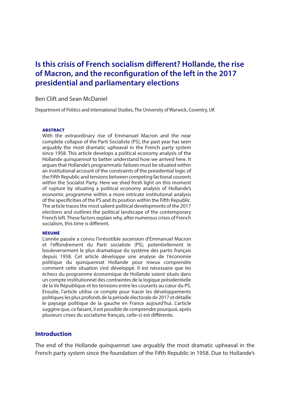# **Is this crisis of French socialism different? Hollande, the rise of Macron, and the reconfiguration of the left in the 2017 presidential and parliamentary elections**

#### Ben Clift and Sean McDaniel

Department of Politics and International Studies, The University of Warwick, Coventry, UK

#### **ARSTRACT**

With the extraordinary rise of Emmanuel Macron and the near complete collapse of the Parti Socialiste (PS), the past year has seen arguably the most dramatic upheaval in the French party system since 1958. This article develops a political economy analysis of the Hollande *quinquennat* to better understand how we arrived here. It argues that Hollande's programmatic failures must be situated within an institutional account of the constraints of the presidential logic of the Fifth Republic and tensions between competing factional *courants* within the Socialist Party. Here we shed fresh light on this moment of rupture by situating a political economy analysis of Hollande's economic programme within a more intricate institutional analysis of the specificities of the PS and its position within the Fifth Republic. The article traces the most salient political developments of the 2017 elections and outlines the political landscape of the contemporary French left. These factors explain why, after numerous crises of French socialism, this time is different.

#### RÉSUMÉ

L'année passée a connu l'irrésistible ascension d'Emmanuel Macron et l'effondrement du Parti socialiste (PS), potentiellement le bouleversement le plus dramatique du système des partis français depuis 1958. Cet article développe une analyse de l'économie politique du quinquennat Hollande pour mieux comprendre comment cette situation s'est développé. Il est nécessaire que les échecs du programme économique de Hollande soient situés dans un compte institutionnel des contraintes de la logique présidentielle de la Ve République et les tensions entre les courants au cœur du PS. Ensuite, l'article utilise ce compte pour tracer les développements politiques les plus profonds de la période électorale de 2017 et détaille le paysage politique de la gauche en France aujourd'hui. L'article suggère que, ce faisant, il est possible de comprendre pourquoi, après plusieurs crises du socialisme français, celle-ci est différente.

### **Introduction**

The end of the Hollande *quinquennat* saw arguably the most dramatic upheaval in the French party system since the foundation of the Fifth Republic in 1958. Due to Hollande's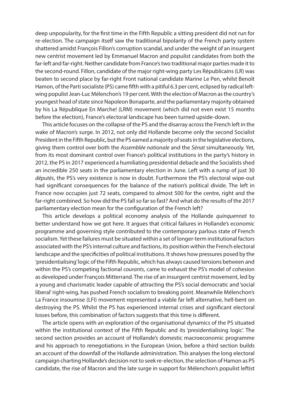deep unpopularity, for the first time in the Fifth Republic a sitting president did not run for re-election. The campaign itself saw the traditional bipolarity of the French party system shattered amidst François Fillon's corruption scandal, and under the weight of an insurgent new centrist movement led by Emmanuel Macron and populist candidates from both the far-left and far-right. Neither candidate from France's two traditional major parties made it to the second-round. Fillon, candidate of the major right-wing party Les Républicains (LR) was beaten to second place by far-right Front national candidate Marine Le Pen, whilst Benoît Hamon, of the Parti socialiste (PS) came fifth with a pitiful 6.3 per cent, eclipsed by radical leftwing populist Jean-Luc Mélenchon's 19 per cent. With the election of Macron as the country's youngest head of state since Napoleon Bonaparte, and the parliamentary majority obtained by his La République En Marche! (LRM) movement (which did not even exist 15 months before the election), France's electoral landscape has been turned upside-down.

This article focuses on the collapse of the PS and the disarray across the French left in the wake of Macron's surge. In 2012, not only did Hollande become only the second Socialist President in the Fifth Republic, but the PS earned a majority of seats in the legislative elections, giving them control over both the *Assemblée nationale* and the *Sénat* simultaneously. Yet, from its most dominant control over France's political institutions in the party's history in 2012, the PS in 2017 experienced a humiliating presidential debacle and the Socialists shed an incredible 250 seats in the parliamentary election in June. Left with a rump of just 30 *députés*, the PS's very existence is now in doubt. Furthermore the PS's electoral wipe-out had significant consequences for the balance of the nation's political divide. The left in France now occupies just 72 seats, compared to almost 500 for the centre, right and the far-right combined. So how did the PS fall so far so fast? And what do the results of the 2017 parliamentary election mean for the configuration of the French left?

This article develops a political economy analysis of the Hollande *quinquennat* to better understand how we got here. It argues that critical failures in Hollande's economic programme and governing style contributed to the contemporary parlous state of French socialism. Yet these failures must be situated within a set of longer-term institutional factors associated with the PS's internal culture and factions, its position within the French electoral landscape and the specificities of political institutions. It shows how pressures posed by the 'presidentialising' logic of the Fifth Republic, which has always caused tensions between and within the PS's competing factional *courants*, came to exhaust the PS's model of cohesion as developed under François Mitterrand. The rise of an insurgent centrist movement, led by a young and charismatic leader capable of attracting the PS's social democratic and 'social liberal' right-wing, has pushed French socialism to breaking point. Meanwhile Mélenchon's La France insoumise (LFI) movement represented a viable far left alternative, hell-bent on destroying the PS. Whilst the PS has experienced internal crises and significant electoral losses before, this combination of factors suggests that this time is different*.*

The article opens with an exploration of the organisational dynamics of the PS situated within the institutional context of the Fifth Republic and its 'presidentialising logic'. The second section provides an account of Hollande's domestic macroeconomic programme and his approach to renegotiations in the European Union, before a third section builds an account of the downfall of the Hollande administration. This analyses the long electoral campaign charting Hollande's decision not to seek re-election, the selection of Hamon as PS candidate, the rise of Macron and the late surge in support for Mélenchon's populist leftist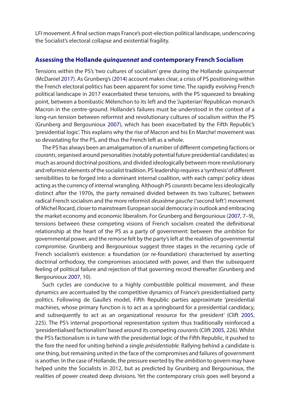LFI movement. A final section maps France's post-election political landscape, underscoring the Socialist's electoral collapse and existential fragility.

#### **Assessing the Hollande** *quinquennat* **and contemporary French Socialism**

<span id="page-3-3"></span><span id="page-3-1"></span>Tensions within the PS's 'two cultures of socialism' grew during the Hollande *quinquennat* (McDaniel [2017\)](#page-13-0). As Grunberg's [\(2014\)](#page-13-1) account makes clear, a crisis of PS positioning within the French electoral politics has been apparent for some time. The rapidly evolving French political landscape in 2017 exacerbated these tensions, with the PS squeezed to breaking point, between a bombastic Mélenchon to its left and the 'Jupiterian' Republican monarch Macron in the centre-ground. Hollande's failures must be understood in the context of a long-run tension between reformist and revolutionary cultures of socialism within the PS (Grunberg and Bergounioux [2007\)](#page-13-2), which has been exacerbated by the Fifth Republic's 'presidential logic'. This explains why the rise of Macron and his En Marche! movement was so devastating for the PS, and thus the French left as a whole.

<span id="page-3-2"></span>The PS has always been an amalgamation of a number of different competing factions or *courants*, organised around personalities (notably potential future presidential candidates) as much as around doctrinal positions, and divided ideologically between more revolutionary and reformist elements of the socialist tradition. PS leadership requires a 'synthesis' of different sensibilities to be forged into a dominant internal coalition, with each camps' policy ideas acting as the currency of internal wrangling. Although PS *courants* became less ideologically distinct after the 1970s, the party remained divided between its two 'cultures', between radical French socialism and the more reformist *deuxième gauche* ('second left') movement of Michel Rocard, closer to mainstream European social democracy in outlook and embracing the market economy and economic liberalism. For Grunberg and Bergounioux [\(2007,](#page-13-2) 7–9), tensions between these competing visions of French socialism created the definitional relationship at the heart of the PS as a party of government: between the *ambition* for governmental power, and the *remorse* felt by the party's left at the realities of governmental compromise. Grunberg and Bergounioux suggest three stages in the recurring cycle of French socialism's existence: a foundation (or re-foundation) characterised by asserting doctrinal orthodoxy, the compromises associated with power, and then the subsequent feeling of political failure and rejection of that governing record thereafter (Grunberg and Bergounioux [2007](#page-13-2), 10).

<span id="page-3-0"></span>Such cycles are conducive to a highly combustible political movement, and these dynamics are accentuated by the competitive dynamics of France's presidentialised party politics. Following de Gaulle's model, Fifth Republic parties approximate 'presidential machines, whose primary function is to act as a springboard for a presidential candidacy, and subsequently to act as an organizational resource for the president' (Clift [2005](#page-13-3), 225). The PS's internal proportional representation system thus traditionally reinforced a 'presidentialised factionalism' based around its competing *courants* (Clift [2005](#page-13-3), 226). Whilst the PS's factionalism is in tune with the presidential logic of the Fifth Republic, it pushed to the fore the need for uniting behind a single *présidentiable.* Rallying behind a candidate is one thing, but remaining united in the face of the compromises and failures of government is another. In the case of Hollande, the pressure exerted by the *ambition* to govern may have helped unite the Socialists in 2012, but as predicted by Grunberg and Bergounioux, the realities of power created deep divisions*.* Yet the contemporary crisis goes well beyond a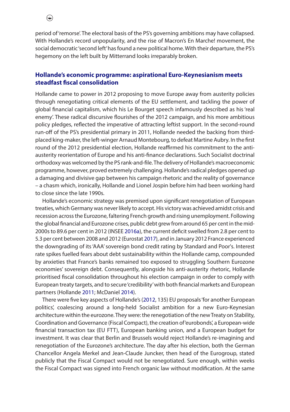period of 'remorse'. The electoral basis of the PS's governing ambitions may have collapsed. With Hollande's record unpopularity, and the rise of Macron's En Marche! movement, the social democratic 'second left' has found a new political home. With their departure, the PS's hegemony on the left built by Mitterrand looks irreparably broken.

# **Hollande's economic programme: aspirational Euro-Keynesianism meets steadfast fiscal consolidation**

Hollande came to power in 2012 proposing to move Europe away from austerity policies through renegotiating critical elements of the EU settlement, and tackling the power of global financial capitalism, which his Le Bourget speech infamously described as his 'real enemy'. These radical discursive flourishes of the 2012 campaign, and his more ambitious policy pledges, reflected the imperative of attracting leftist support. In the second-round run-off of the PS's presidential primary in 2011, Hollande needed the backing from thirdplaced king-maker, the left-winger Arnaud Montebourg, to defeat Martine Aubry. In the first round of the 2012 presidential election, Hollande reaffirmed his commitment to the antiausterity reorientation of Europe and his anti-finance declarations. Such Socialist doctrinal orthodoxy was welcomed by the PS rank-and-file. The delivery of Hollande's macroeconomic programme, however, proved extremely challenging. Hollande's radical pledges opened up a damaging and divisive gap between his campaign rhetoric and the reality of governance – a chasm which, ironically, Hollande and Lionel Jospin before him had been working hard to close since the late 1990s.

<span id="page-4-3"></span><span id="page-4-0"></span>Hollande's economic strategy was premised upon significant renegotiation of European treaties, which Germany was never likely to accept. His victory was achieved amidst crisis and recession across the Eurozone, faltering French growth and rising unemployment. Following the global financial and Eurozone crises, public debt grew from around 65 per cent in the mid-2000s to 89.6 per cent in 2012 (INSEE [2016a](#page-13-4)), the current deficit swelled from 2.8 per cent to 5.3 per cent between 2008 and 2012 (Eurostat [2017](#page-13-5)), and in January 2012 France experienced the downgrading of its 'AAA' sovereign bond credit rating by Standard and Poor's. Interest rate spikes fuelled fears about debt sustainability within the Hollande camp, compounded by anxieties that France's banks remained too exposed to struggling Southern Eurozone economies' sovereign debt. Consequently, alongside his anti-austerity rhetoric, Hollande prioritised fiscal consolidation throughout his election campaign in order to comply with European treaty targets, and to secure 'credibility' with both financial markets and European partners (Hollande [2011](#page-13-6); McDaniel [2014\)](#page-13-7).

<span id="page-4-4"></span><span id="page-4-2"></span><span id="page-4-1"></span>There were five key aspects of Hollande's ([2012](#page-13-8), 135) EU proposals 'for another European politics', coalescing around a long-held Socialist ambition for a new Euro-Keynesian architecture within the eurozone. They were: the renegotiation of the new Treaty on Stability, Coordination and Governance (Fiscal Compact), the creation of 'eurobonds', a European-wide financial transaction tax (EU FTT), European banking union, and a European budget for investment. It was clear that Berlin and Brussels would reject Hollande's re-imagining and renegotiation of the Eurozone's architecture. The day after his election, both the German Chancellor Angela Merkel and Jean-Claude Juncker, then head of the Eurogroup, stated publicly that the Fiscal Compact would not be renegotiated. Sure enough, within weeks the Fiscal Compact was signed into French organic law without modification. At the same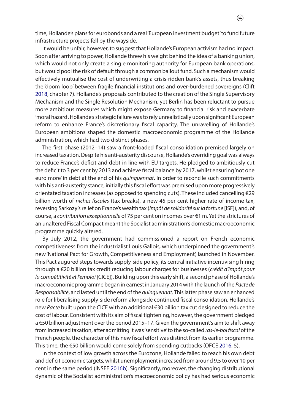time, Hollande's plans for eurobonds and a real 'European investment budget' to fund future infrastructure projects fell by the wayside.

<span id="page-5-0"></span>It would be unfair, however, to suggest that Hollande's European activism had no impact. Soon after arriving to power, Hollande threw his weight behind the idea of a banking union, which would not only create a single monitoring authority for European bank operations, but would pool the risk of default through a common bailout fund. Such a mechanism would effectively mutualise the cost of underwriting a crisis-ridden bank's assets, thus breaking the 'doom loop' between fragile financial institutions and over-burdened sovereigns (Clift [2018,](#page-13-9) chapter 7). Hollande's proposals contributed to the creation of the Single Supervisory Mechanism and the Single Resolution Mechanism, yet Berlin has been reluctant to pursue more ambitious measures which might expose Germany to financial risk and exacerbate 'moral hazard'. Hollande's strategic failure was to rely unrealistically upon significant European reform to enhance France's discretionary fiscal capacity. The unravelling of Hollande's European ambitions shaped the domestic macroeconomic programme of the Hollande administration, which had two distinct phases.

The first phase (2012–14) saw a front-loaded fiscal consolidation premised largely on increased taxation. Despite his anti-austerity discourse, Hollande's overriding goal was always to reduce France's deficit and debt in line with EU targets. He pledged to ambitiously cut the deficit to 3 per cent by 2013 and achieve fiscal balance by 2017, whilst ensuring 'not one euro more' in debt at the end of his *quinquennat*. In order to reconcile such commitments with his anti-austerity stance, initially this fiscal effort was premised upon more progressively orientated taxation increases (as opposed to spending cuts). These included cancelling €29 billion worth of *niches fiscales* (tax breaks), a new 45 per cent higher rate of income tax, reversing Sarkozy's relief on France's wealth tax (*impôt de solidarité sur la fortune* [ISF]), and, of course, a *contribution exceptionnelle* of 75 per cent on incomes over €1 m. Yet the strictures of an unaltered Fiscal Compact meant the Socialist administration's domestic macroeconomic programme quickly altered.

By July 2012, the government had commissioned a report on French economic competitiveness from the industrialist Louis Gallois, which underpinned the government's new 'National Pact for Growth, Competitiveness and Employment', launched in November. This Pact augured steps towards supply-side policy, its central initiative incentivising hiring through a €20 billion tax credit reducing labour charges for businesses (*crédit d'impôt pour la compétitivité et l'emploi* [CICE]). Building upon this early shift, a second phase of Hollande's macroeconomic programme began in earnest in January 2014 with the launch of the *Pacte de Responsabilité*, and lasted until the end of the *quinquennat.* This latter phase saw an enhanced role for liberalising supply-side reform alongside continued fiscal consolidation. Hollande's new *Pacte* built upon the CICE with an additional €30 billion tax cut designed to reduce the cost of labour. Consistent with its aim of fiscal tightening, however, the government pledged a €50 billion adjustment over the period 2015–17. Given the government's aim to shift away from increased taxation, after admitting it was 'sensitive' to the so-called *ras*-*le*-*bol fiscal* of the French people, the character of this new fiscal effort was distinct from its earlier programme. This time, the  $\epsilon$ 50 billion would come solely from spending cutbacks (OFCE [2016,](#page-13-10) 5).

<span id="page-5-2"></span><span id="page-5-1"></span>In the context of low growth across the Eurozone, Hollande failed to reach his own debt and deficit economic targets, whilst unemployment increased from around 9.5 to over 10 per cent in the same period (INSEE [2016b](#page-13-11)). Significantly, moreover, the changing distributional dynamic of the Socialist administration's macroeconomic policy has had serious economic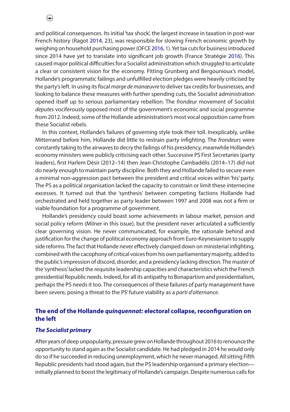<span id="page-6-1"></span><span id="page-6-0"></span>and political consequences. Its initial 'tax shock', the largest increase in taxation in post-war French history (Ragot [2014](#page-13-12), 23), was responsible for slowing French economic growth by weighing on household purchasing power (OFCE [2016,](#page-13-10) 1). Yet tax cuts for business introduced since 2014 have yet to translate into significant job growth (France Stratégie [2016\)](#page-13-13). This caused major political difficulties for a Socialist administration which struggled to articulate a clear or consistent vision for the economy. Fitting Grunberg and Bergounioux's model, Hollande's programmatic failings and unfulfilled election pledges were heavily criticised by the party's left. In using its fiscal *marge de manœuvre* to deliver tax credits for businesses, and looking to balance these measures with further spending cuts, the Socialist administration opened itself up to serious parliamentary rebellion. The *frondeur* movement of Socialist *deputes* vociferously opposed most of the government's economic and social programme from 2012. Indeed, some of the Hollande administration's most vocal opposition came from these Socialist rebels.

In this context, Hollande's failures of governing style took their toll. Inexplicably, unlike Mitterrand before him, Hollande did little to restrain party infighting. The *frondeurs* were constantly taking to the airwaves to decry the failings of his presidency, meanwhile Hollande's economy ministers were publicly criticising each other. Successive PS First Secretaries (party leaders), first Harlem Désir (2012–14) then Jean-Christophe Cambadélis (2014–17) did not do nearly enough to maintain party discipline. Both they and Hollande failed to secure even a minimal non-aggression pact between the president and critical voices within 'his' party. The PS as a political organisation lacked the capacity to constrain or limit these internecine excesses. It turned out that the 'synthesis' between competing factions Hollande had orchestrated and held together as party leader between 1997 and 2008 was not a firm or viable foundation for a programme of government.

Hollande's presidency could boast some achievements in labour market, pension and social policy reform (Milner in this issue), but the president never articulated a sufficiently clear governing vision. He never communicated, for example, the rationale behind and justification for the change of political economy approach from Euro-Keynesianism to supply side reforms. The fact that Hollande never effectively clamped down on ministerial infighting, combined with the cacophony of critical voices from his own parliamentary majority, added to the public's impression of discord, disorder, and a presidency lacking direction. The master of the 'synthesis' lacked the requisite leadership capacities and characteristics which the French presidential Republic needs. Indeed, for all its antipathy to Bonapartism and presidentialism, perhaps the PS needs it too. The consequences of these failures of party management have been severe, posing a threat to the PS' future viability as a *parti d'alternance*.

# **The end of the Hollande** *quinquennat:* **electoral collapse, reconfiguration on the left**

### *The Socialist primary*

After years of deep unpopularity, pressure grew on Hollande throughout 2016 to renounce the opportunity to stand again as the Socialist candidate. He had pledged in 2014 he would only do so if he succeeded in reducing unemployment, which he never managed. All sitting Fifth Republic presidents had stood again, but the PS leadership organised a primary election initially planned to boost the legitimacy of Hollande's campaign. Despite numerous calls for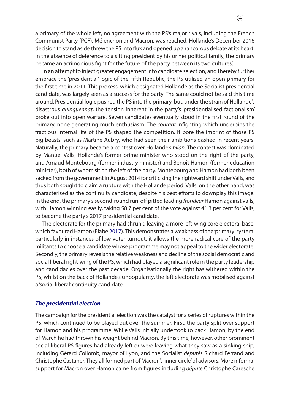a primary of the whole left, no agreement with the PS's major rivals, including the French Communist Party (PCF), Mélenchon and Macron, was reached. Hollande's December 2016 decision to stand aside threw the PS into flux and opened up a rancorous debate at its heart. In the absence of deference to a sitting president by his or her political family, the primary became an acrimonious fight for the future of the party between its two 'cultures'.

In an attempt to inject greater engagement into candidate selection, and thereby further embrace the 'presidential' logic of the Fifth Republic, the PS utilised an open primary for the first time in 2011. This process, which designated Hollande as the Socialist presidential candidate, was largely seen as a success for the party. The same could not be said this time around. Presidential logic pushed the PS into the primary, but, under the strain of Hollande's disastrous *quinquennat*, the tension inherent in the party's 'presidentialised factionalism' broke out into open warfare. Seven candidates eventually stood in the first round of the primary, none generating much enthusiasm. The *courant* infighting which underpins the fractious internal life of the PS shaped the competition. It bore the imprint of those PS big beasts, such as Martine Aubry, who had seen their ambitions dashed in recent years. Naturally, the primary became a contest over Hollande's *bilan*. The contest was dominated by Manuel Valls, Hollande's former prime minister who stood on the right of the party, and Arnaud Montebourg (former industry minister) and Benoît Hamon (former education minister), both of whom sit on the left of the party. Montebourg and Hamon had both been sacked from the government in August 2014 for criticising the rightward shift under Valls, and thus both sought to claim a rupture with the Hollande period. Valls, on the other hand, was characterised as the continuity candidate, despite his best efforts to downplay this image. In the end, the primary's second-round run-off pitted leading *frondeur* Hamon against Valls, with Hamon winning easily, taking 58.7 per cent of the vote against 41.3 per cent for Valls, to become the party's 2017 presidential candidate.

<span id="page-7-0"></span>The electorate for the primary had shrunk, leaving a more left-wing core electoral base, which favoured Hamon (Elabe [2017](#page-13-14)). This demonstrates a weakness of the 'primary' system: particularly in instances of low voter turnout, it allows the more radical core of the party militants to choose a candidate whose programme may not appeal to the wider electorate. Secondly, the primary reveals the relative weakness and decline of the social democratic and social liberal right-wing of the PS, which had played a significant role in the party leadership and candidacies over the past decade. Organisationally the right has withered within the PS, whilst on the back of Hollande's unpopularity, the left electorate was mobilised against a 'social liberal' continuity candidate.

#### *The presidential election*

The campaign for the presidential election was the catalyst for a series of ruptures within the PS, which continued to be played out over the summer. First, the party split over support for Hamon and his programme. While Valls initially undertook to back Hamon, by the end of March he had thrown his weight behind Macron. By this time, however, other prominent social liberal PS figures had already left or were leaving what they saw as a sinking ship, including Gérard Collomb, mayor of Lyon, and the Socialist *députés* Richard Ferrand and Christophe Castaner. They all formed part of Macron's 'inner circle' of advisors. More informal support for Macron over Hamon came from figures including *député* Christophe Caresche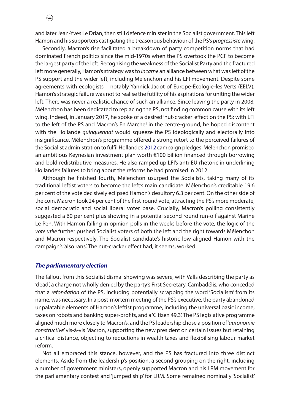and later Jean-Yves Le Drian, then still defence minister in the Socialist government. This left Hamon and his supporters castigating the treasonous behaviour of the PS's *progressiste* wing.

Secondly, Macron's rise facilitated a breakdown of party competition norms that had dominated French politics since the mid-1970s when the PS overtook the PCF to become the largest party of the left. Recognising the weakness of the Socialist Party and the fractured left more generally, Hamon's strategy was to *incarne* an alliance between what was left of the PS support and the wider left, including Mélenchon and his LFI movement. Despite some agreements with ecologists – notably Yannick Jadot of Europe-Écologie-les Verts (EELV), Hamon's strategic failure was not to realise the futility of his aspirations for uniting the wider left. There was never a realistic chance of such an alliance. Since leaving the party in 2008, Mélenchon has been dedicated to replacing the PS, not finding common cause with its left wing. Indeed, in January 2017, he spoke of a desired 'nut-cracker' effect on the PS; with LFI to the left of the PS and Macron's En Marche! in the centre-ground, he hoped discontent with the Hollande *quinquennat* would squeeze the PS ideologically and electorally into insignificance. Mélenchon's programme offered a strong retort to the perceived failures of the Socialist administration to fulfil Hollande's [2012](#page-13-8) campaign pledges. Mélenchon promised an ambitious Keynesian investment plan worth €100 billion financed through borrowing and bold redistributive measures. He also ramped up LFI's anti-EU rhetoric in underlining Hollande's failures to bring about the reforms he had promised in 2012.

Although he finished fourth, Mélenchon usurped the Socialists, taking many of its traditional leftist voters to become the left's main candidate. Mélenchon's creditable 19.6 per cent of the vote decisively eclipsed Hamon's desultory 6.3 per cent. On the other side of the coin, Macron took 24 per cent of the first-round vote, attracting the PS's more moderate, social democratic and social liberal voter base. Crucially, Macron's polling consistently suggested a 60 per cent plus showing in a potential second round run-off against Marine Le Pen. With Hamon falling in opinion polls in the weeks before the vote, the logic of the *vote utile* further pushed Socialist voters of both the left and the right towards Mélenchon and Macron respectively. The Socialist candidate's historic low aligned Hamon with the campaign's 'also rans'. The nut-cracker effect had, it seems, worked.

#### *The parliamentary election*

The fallout from this Socialist dismal showing was severe, with Valls describing the party as 'dead', a charge not wholly denied by the party's First Secretary, Cambadélis, who conceded that a *refondation* of the PS, including potentially scrapping the word 'Socialism' from its name, was necessary. In a post-mortem meeting of the PS's executive, the party abandoned unpalatable elements of Hamon's leftist programme, including the universal basic income, taxes on robots and banking super-profits, and a 'Citizen 49.3'. The PS legislative programme aligned much more closely to Macron's, and the PS leadership chose a position of '*autonomie constructive*' vis-à-vis Macron, supporting the new president on certain issues but retaining a critical distance, objecting to reductions in wealth taxes and flexibilising labour market reform.

Not all embraced this stance, however, and the PS has fractured into three distinct elements. Aside from the leadership's position, a second grouping on the right, including a number of government ministers, openly supported Macron and his LRM movement for the parliamentary contest and 'jumped ship' for LRM. Some remained nominally 'Socialist'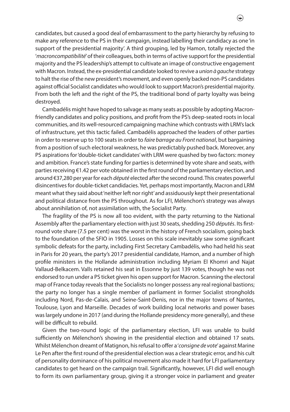candidates, but caused a good deal of embarrassment to the party hierarchy by refusing to make any reference to the PS in their campaign, instead labelling their candidacy as one 'in support of the presidential majority'. A third grouping, led by Hamon, totally rejected the '*macroncompatibilité*' of their colleagues, both in terms of active support for the presidential majority and the PS leadership's attempt to cultivate an image of constructive engagement with Macron. Instead, the ex-presidential candidate looked to revive a *union à gauche* strategy to halt the rise of the new president's movement, and even openly backed non-PS candidates against official Socialist candidates who would look to support Macron's presidential majority. From both the left and the right of the PS, the traditional bond of party loyalty was being destroyed.

Cambadélis might have hoped to salvage as many seats as possible by adopting Macronfriendly candidates and policy positions, and profit from the PS's deep-seated roots in local communities, and its well-resourced campaigning machine which contrasts with LRM's lack of infrastructure, yet this tactic failed. Cambadélis approached the leaders of other parties in order to reserve up to 100 seats in order to *faire barrage au Front national*, but bargaining from a position of such electoral weakness, he was predictably pushed back. Moreover, any PS aspirations for 'double-ticket candidates' with LRM were quashed by two factors: money and ambition. France's state funding for parties is determined by vote share and seats, with parties receiving €1.42 per vote obtained in the first round of the parliamentary election, and around €37,280 per year for each *député* elected after the second round. This creates powerful disincentives for double-ticket candidacies. Yet, perhaps most importantly, Macron and LRM meant what they said about 'neither left nor right' and assiduously kept their presentational and political distance from the PS throughout. As for LFI, Mélenchon's strategy was always about annihilation of, not assimilation with, the Socialist Party.

The fragility of the PS is now all too evident, with the party returning to the National Assembly after the parliamentary election with just 30 seats, shedding 250 *députés*. Its firstround vote share (7.5 per cent) was the worst in the history of French socialism, going back to the foundation of the SFIO in 1905. Losses on this scale inevitably saw some significant symbolic defeats for the party, including First Secretary Cambadélis, who had held his seat in Paris for 20 years, the party's 2017 presidential candidate, Hamon, and a number of high profile ministers in the Hollande administration including Myriam El Khomri and Najat Vallaud-Belkacem. Valls retained his seat in Essonne by just 139 votes, though he was not endorsed to run under a PS ticket given his open support for Macron. Scanning the electoral map of France today reveals that the Socialists no longer possess any real regional bastions; the party no longer has a single member of parliament in former Socialist strongholds including Nord, Pas-de-Calais, and Seine-Saint-Denis, nor in the major towns of Nantes, Toulouse, Lyon and Marseille. Decades of work building local networks and power bases was largely undone in 2017 (and during the Hollande presidency more generally), and these will be difficult to rebuild.

Given the two-round logic of the parliamentary election, LFI was unable to build sufficiently on Mélenchon's showing in the presidential election and obtained 17 seats. Whilst Mélenchon dreamt of Matignon, his refusal to offer a '*consigne de vote*' against Marine Le Pen after the first round of the presidential election was a clear strategic error, and his cult of personality dominance of his political movement also made it hard for LFI parliamentary candidates to get heard on the campaign trail. Significantly, however, LFI did well enough to form its own parliamentary group, giving it a stronger voice in parliament and greater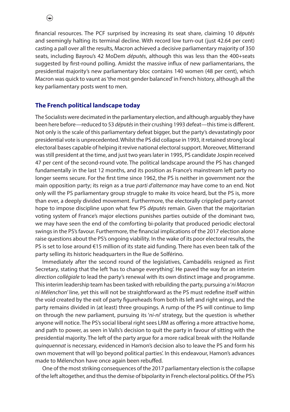financial resources. The PCF surprised by increasing its seat share, claiming 10 *députés* and seemingly halting its terminal decline. With record low turn-out (just 42.64 per cent) casting a pall over all the results, Macron achieved a decisive parliamentary majority of 350 seats, including Bayrou's 42 MoDem *députés*, although this was less than the 400+seats suggested by first-round polling. Amidst the massive influx of new parliamentarians, the presidential majority's new parliamentary bloc contains 140 women (48 per cent), which Macron was quick to vaunt as 'the most gender balanced' in French history, although all the key parliamentary posts went to men.

# **The French political landscape today**

The Socialists were decimated in the parliamentary election, and although arguably they have been here before—reduced to 53 *députés* in their crushing 1993 defeat—this time is different. Not only is the scale of this parliamentary defeat bigger, but the party's devastatingly poor presidential vote is unprecedented. Whilst the PS did collapse in 1993, it retained strong local electoral bases capable of helping it revive national electoral support. Moreover, Mitterrand was still president at the time, and just two years later in 1995, PS candidate Jospin received 47 per cent of the second-round vote. The political landscape around the PS has changed fundamentally in the last 12 months, and its position as France's mainstream left party no longer seems secure. For the first time since 1962, the PS is neither in government nor the main opposition party; its reign as a true *parti d'alternance* may have come to an end. Not only will the PS parliamentary group struggle to make its voice heard, but the PS is, more than ever, a deeply divided movement. Furthermore, the electorally crippled party cannot hope to impose discipline upon what few PS *députés* remain. Given that the majoritarian voting system of France's major elections punishes parties outside of the dominant two, we may have seen the end of the comforting bi-polarity that produced periodic electoral swings in the PS's favour. Furthermore, the financial implications of the 2017 election alone raise questions about the PS's ongoing viability. In the wake of its poor electoral results, the PS is set to lose around €15 million of its state aid funding. There has even been talk of the party selling its historic headquarters in the Rue de Solférino.

Immediately after the second round of the legislatives, Cambadélis resigned as First Secretary, stating that the left 'has to change everything'. He paved the way for an interim *direction collégiale* to lead the party's renewal with its own distinct image and programme. This interim leadership team has been tasked with rebuilding the party, pursuing a '*ni Macron ni Mélenchon*' line, yet this will not be straightforward as the PS must redefine itself within the void created by the exit of party figureheads from both its left and right wings, and the party remains divided in (at least) three groupings. A rump of the PS will continue to limp on through the new parliament, pursuing its '*ni*-*ni*' strategy, but the question is whether anyone will notice. The PS's social liberal right sees LRM as offering a more attractive home, and path to power, as seen in Valls's decision to quit the party in favour of sitting with the presidential majority. The left of the party argue for a more radical break with the Hollande *quinquennat* is necessary, evidenced in Hamon's decision also to leave the PS and form his own movement that will 'go beyond political parties'. In this endeavour, Hamon's advances made to Mélenchon have once again been rebuffed.

One of the most striking consequences of the 2017 parliamentary election is the collapse of the left altogether, and thus the demise of bipolarity in French electoral politics. Of the PS's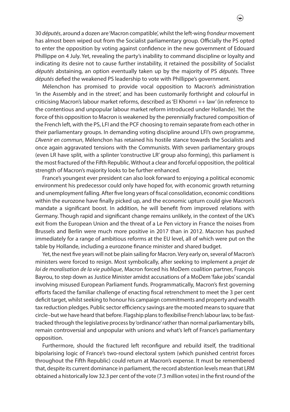30 *députés*, around a dozen are 'Macron compatible', whilst the left-wing *frondeur* movement has almost been wiped out from the Socialist parliamentary group. Officially the PS opted to enter the opposition by voting against confidence in the new government of Edouard Phillippe on 4 July. Yet, revealing the party's inability to command discipline or loyalty and indicating its desire not to cause further instability, it retained the possibility of Socialist *députés* abstaining, an option eventually taken up by the majority of PS *députés.* Three *députés* defied the weakened PS leadership to vote with Phillippe's government.

Mélenchon has promised to provide vocal opposition to Macron's administration 'in the Assembly and in the street', and has been customarily forthright and colourful in criticising Macron's labour market reforms, described as 'El Khomri ++ law' (in reference to the contentious and unpopular labour market reform introduced under Hollande). Yet the force of this opposition to Macron is weakened by the perennially fractured composition of the French left, with the PS, LFI and the PCF choosing to remain separate from each other in their parliamentary groups. In demanding voting discipline around LFI's own programme, *L'Avenir en commun*, Mélenchon has retained his hostile stance towards the Socialists and once again aggravated tensions with the Communists. With seven parliamentary groups (even LR have split, with a splinter 'constructive LR' group also forming), this parliament is the most fractured of the Fifth Republic. Without a clear and forceful opposition, the political strength of Macron's majority looks to be further enhanced.

France's youngest ever president can also look forward to enjoying a political economic environment his predecessor could only have hoped for, with economic growth returning and unemployment falling. After five long years of fiscal consolidation, economic conditions within the eurozone have finally picked up, and the economic upturn could give Macron's mandate a significant boost. In addition, he will benefit from improved relations with Germany. Though rapid and significant change remains unlikely, in the context of the UK's exit from the European Union and the threat of a Le Pen victory in France the noises from Brussels and Berlin were much more positive in 2017 than in 2012. Macron has pushed immediately for a range of ambitious reforms at the EU level, all of which were put on the table by Hollande, including a eurozone finance minister and shared budget.

Yet, the next five years will not be plain sailing for Macron. Very early on, several of Macron's ministers were forced to resign. Most symbolically, after seeking to implement a *projet de loi de moralisation de la vie publique*, Macron forced his MoDem coalition partner, François Bayrou, to step down as Justice Minister amidst accusations of a MoDem 'fake jobs' scandal involving misused European Parliament funds. Programmatically, Macron's first governing efforts faced the familiar challenge of enacting fiscal retrenchment to meet the 3 per cent deficit target, whilst seeking to honour his campaign commitments and property and wealth tax reduction pledges. Public sector efficiency savings are the mooted means to square that circle–but we have heard that before. Flagship plans to flexibilise French labour law, to be fasttracked through the legislative process by 'ordinance' rather than normal parliamentary bills, remain controversial and unpopular with unions and what's left of France's parliamentary opposition.

Furthermore, should the fractured left reconfigure and rebuild itself, the traditional bipolarising logic of France's two-round electoral system (which punished centrist forces throughout the Fifth Republic) could return at Macron's expense. It must be remembered that, despite its current dominance in parliament, the record abstention levels mean that LRM obtained a historically low 32.3 per cent of the vote (7.3 million votes) in the first round of the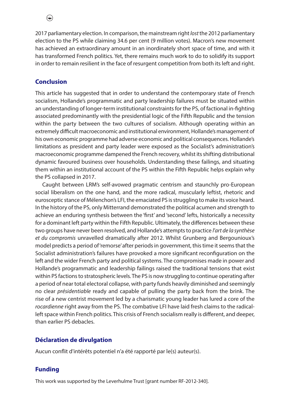

2017 parliamentary election. In comparison, the mainstream right *lost* the 2012 parliamentary election to the PS while claiming 34.6 per cent (9 million votes). Macron's new movement has achieved an extraordinary amount in an inordinately short space of time, and with it has transformed French politics. Yet, there remains much work to do to solidify its support in order to remain resilient in the face of resurgent competition from both its left and right.

# **Conclusion**

This article has suggested that in order to understand the contemporary state of French socialism, Hollande's programmatic and party leadership failures must be situated within an understanding of longer-term institutional constraints for the PS, of factional in-fighting associated predominantly with the presidential logic of the Fifth Republic and the tension within the party between the two cultures of socialism. Although operating within an extremely difficult macroeconomic and institutional environment, Hollande's management of his own economic programme had adverse economic and political consequences. Hollande's limitations as president and party leader were exposed as the Socialist's administration's macroeconomic programme dampened the French recovery, whilst its shifting distributional dynamic favoured business over households. Understanding these failings, and situating them within an institutional account of the PS within the Fifth Republic helps explain why the PS collapsed in 2017.

Caught between LRM's self-avowed pragmatic centrism and staunchly pro-European social liberalism on the one hand, and the more radical, muscularly leftist, rhetoric and eurosceptic stance of Mélenchon's LFI, the emaciated PS is struggling to make its voice heard. In the history of the PS, only Mitterrand demonstrated the political acumen and strength to achieve an enduring synthesis between the 'first' and 'second' lefts, historically a necessity for a dominant left party within the Fifth Republic. Ultimately, the differences between these two groups have never been resolved, and Hollande's attempts to practice *l'art de la synthèse et du compromis* unravelled dramatically after 2012. Whilst Grunberg and Bergounioux's model predicts a period of 'remorse' after periods in government, this time it seems that the Socialist administration's failures have provoked a more significant reconfiguration on the left and the wider French party and political systems. The compromises made in power and Hollande's programmatic and leadership failings raised the traditional tensions that exist within PS factions to stratospheric levels. The PS is now struggling to continue operating after a period of near total electoral collapse, with party funds heavily diminished and seemingly no clear *présidentiable* ready and capable of pulling the party back from the brink. The rise of a new centrist movement led by a charismatic young leader has lured a core of the *rocardienne* right away from the PS. The combative LFI have laid fresh claims to the radicalleft space within French politics. This crisis of French socialism really is different, and deeper, than earlier PS debacles.

## **Déclaration de divulgation**

Aucun conflit d'intérêts potentiel n'a été rapporté par le(s) auteur(s).

# **Funding**

This work was supported by the Leverhulme Trust [grant number RF-2012-340].